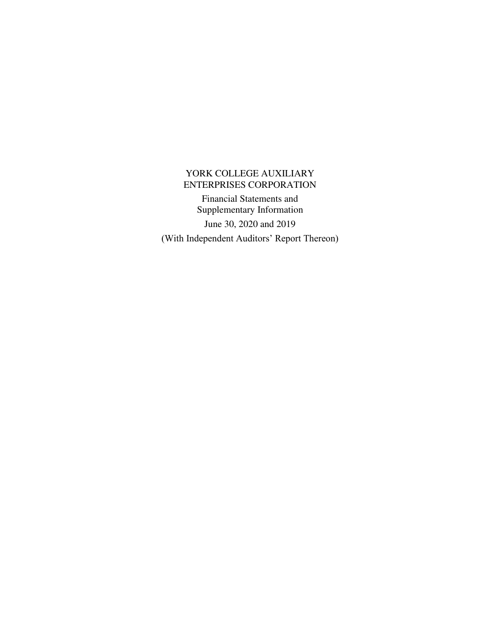Financial Statements and Supplementary Information June 30, 2020 and 2019 (With Independent Auditors' Report Thereon)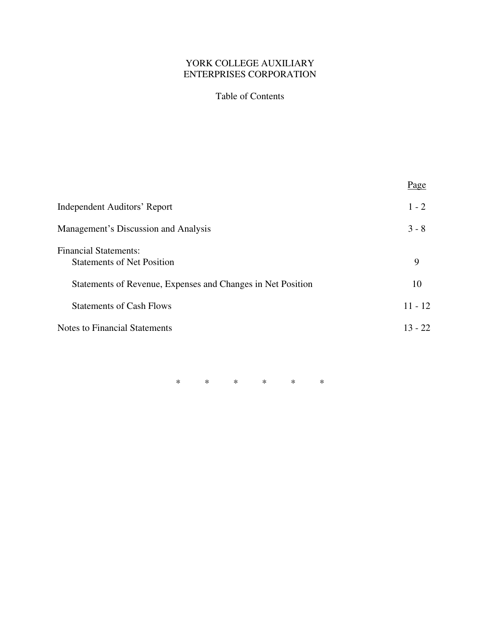# Table of Contents

|                                                                   | Page      |
|-------------------------------------------------------------------|-----------|
| <b>Independent Auditors' Report</b>                               | $1 - 2$   |
| <b>Management's Discussion and Analysis</b>                       | $3 - 8$   |
| <b>Financial Statements:</b><br><b>Statements of Net Position</b> | 9         |
| Statements of Revenue, Expenses and Changes in Net Position       | 10        |
| <b>Statements of Cash Flows</b>                                   | $11 - 12$ |
| <b>Notes to Financial Statements</b>                              | $13 - 22$ |
|                                                                   |           |

\* \* \* \* \* \*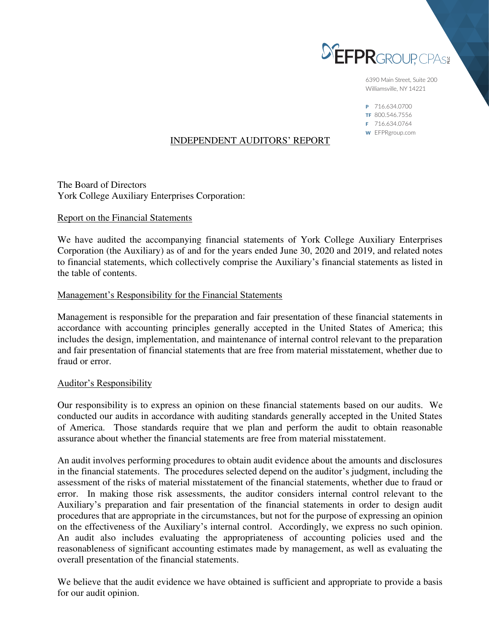

6390 Main Street, Suite 200 Williamsville, NY 14221

P 716.634.0700 TF 800.546.7556 F 716.634.0764 W EFPRgroup.com

# INDEPENDENT AUDITORS' REPORT

The Board of Directors York College Auxiliary Enterprises Corporation:

### Report on the Financial Statements

We have audited the accompanying financial statements of York College Auxiliary Enterprises Corporation (the Auxiliary) as of and for the years ended June 30, 2020 and 2019, and related notes to financial statements, which collectively comprise the Auxiliary's financial statements as listed in the table of contents.

### Management's Responsibility for the Financial Statements

Management is responsible for the preparation and fair presentation of these financial statements in accordance with accounting principles generally accepted in the United States of America; this includes the design, implementation, and maintenance of internal control relevant to the preparation and fair presentation of financial statements that are free from material misstatement, whether due to fraud or error.

#### Auditor's Responsibility

Our responsibility is to express an opinion on these financial statements based on our audits. We conducted our audits in accordance with auditing standards generally accepted in the United States of America. Those standards require that we plan and perform the audit to obtain reasonable assurance about whether the financial statements are free from material misstatement.

An audit involves performing procedures to obtain audit evidence about the amounts and disclosures in the financial statements. The procedures selected depend on the auditor's judgment, including the assessment of the risks of material misstatement of the financial statements, whether due to fraud or error. In making those risk assessments, the auditor considers internal control relevant to the Auxiliary's preparation and fair presentation of the financial statements in order to design audit procedures that are appropriate in the circumstances, but not for the purpose of expressing an opinion on the effectiveness of the Auxiliary's internal control. Accordingly, we express no such opinion. An audit also includes evaluating the appropriateness of accounting policies used and the reasonableness of significant accounting estimates made by management, as well as evaluating the overall presentation of the financial statements.

We believe that the audit evidence we have obtained is sufficient and appropriate to provide a basis for our audit opinion.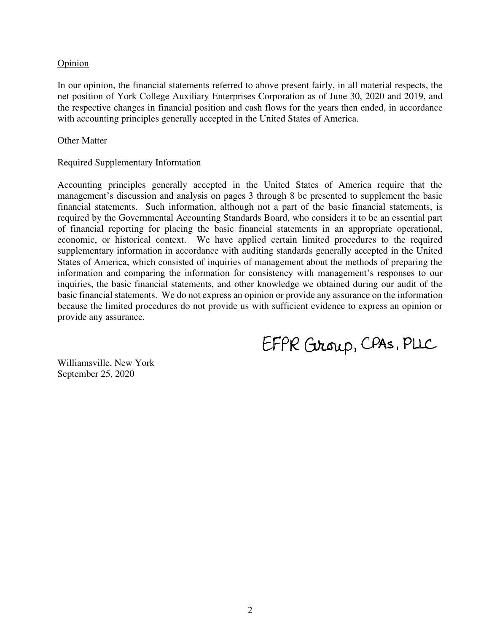# **Opinion**

In our opinion, the financial statements referred to above present fairly, in all material respects, the net position of York College Auxiliary Enterprises Corporation as of June 30, 2020 and 2019, and the respective changes in financial position and cash flows for the years then ended, in accordance with accounting principles generally accepted in the United States of America.

### Other Matter

# Required Supplementary Information

Accounting principles generally accepted in the United States of America require that the management's discussion and analysis on pages 3 through 8 be presented to supplement the basic financial statements. Such information, although not a part of the basic financial statements, is required by the Governmental Accounting Standards Board, who considers it to be an essential part of financial reporting for placing the basic financial statements in an appropriate operational, economic, or historical context. We have applied certain limited procedures to the required supplementary information in accordance with auditing standards generally accepted in the United States of America, which consisted of inquiries of management about the methods of preparing the information and comparing the information for consistency with management's responses to our inquiries, the basic financial statements, and other knowledge we obtained during our audit of the basic financial statements. We do not express an opinion or provide any assurance on the information because the limited procedures do not provide us with sufficient evidence to express an opinion or provide any assurance.

EFPR Group, CPAS, PLLC

Williamsville, New York September 25, 2020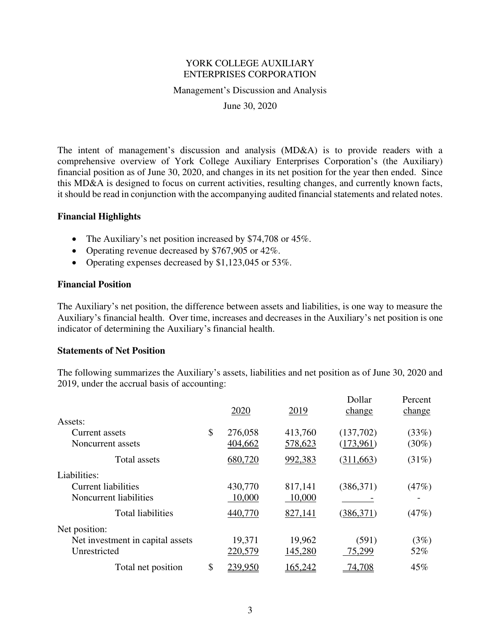Management's Discussion and Analysis

June 30, 2020

The intent of management's discussion and analysis (MD&A) is to provide readers with a comprehensive overview of York College Auxiliary Enterprises Corporation's (the Auxiliary) financial position as of June 30, 2020, and changes in its net position for the year then ended. Since this MD&A is designed to focus on current activities, resulting changes, and currently known facts, it should be read in conjunction with the accompanying audited financial statements and related notes.

# **Financial Highlights**

- The Auxiliary's net position increased by \$74,708 or 45%.
- Operating revenue decreased by \$767,905 or 42%.
- Operating expenses decreased by \$1,123,045 or 53%.

#### **Financial Position**

The Auxiliary's net position, the difference between assets and liabilities, is one way to measure the Auxiliary's financial health. Over time, increases and decreases in the Auxiliary's net position is one indicator of determining the Auxiliary's financial health.

#### **Statements of Net Position**

The following summarizes the Auxiliary's assets, liabilities and net position as of June 30, 2020 and 2019, under the accrual basis of accounting:

|                                  | 2020          | 2019    | Dollar<br>change | Percent<br>change |
|----------------------------------|---------------|---------|------------------|-------------------|
| Assets:                          |               |         |                  |                   |
| Current assets                   | \$<br>276,058 | 413,760 | (137,702)        | (33%)             |
| Noncurrent assets                | 404,662       | 578,623 | (173,961)        | $(30\%)$          |
| Total assets                     | 680,720       | 992,383 | (311, 663)       | (31%)             |
| Liabilities:                     |               |         |                  |                   |
| <b>Current liabilities</b>       | 430,770       | 817,141 | (386, 371)       | (47%)             |
| Noncurrent liabilities           | 10,000        | 10,000  |                  |                   |
| <b>Total liabilities</b>         | 440,770       | 827,141 | (386, 371)       | (47%)             |
| Net position:                    |               |         |                  |                   |
| Net investment in capital assets | 19,371        | 19,962  | (591)            | (3%)              |
| Unrestricted                     | 220,579       | 145,280 | 75,299           | 52%               |
| Total net position               | \$<br>239,950 | 165,242 | 74,708           | 45%               |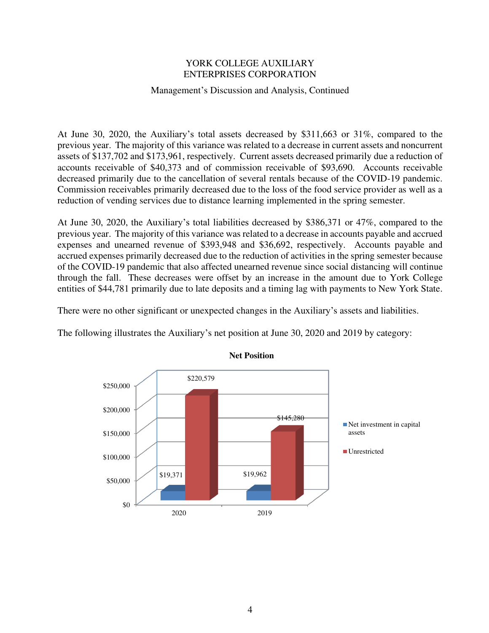# Management's Discussion and Analysis, Continued

At June 30, 2020, the Auxiliary's total assets decreased by \$311,663 or 31%, compared to the previous year. The majority of this variance was related to a decrease in current assets and noncurrent assets of \$137,702 and \$173,961, respectively. Current assets decreased primarily due a reduction of accounts receivable of \$40,373 and of commission receivable of \$93,690. Accounts receivable decreased primarily due to the cancellation of several rentals because of the COVID-19 pandemic. Commission receivables primarily decreased due to the loss of the food service provider as well as a reduction of vending services due to distance learning implemented in the spring semester.

At June 30, 2020, the Auxiliary's total liabilities decreased by \$386,371 or 47%, compared to the previous year. The majority of this variance was related to a decrease in accounts payable and accrued expenses and unearned revenue of \$393,948 and \$36,692, respectively. Accounts payable and accrued expenses primarily decreased due to the reduction of activities in the spring semester because of the COVID-19 pandemic that also affected unearned revenue since social distancing will continue through the fall. These decreases were offset by an increase in the amount due to York College entities of \$44,781 primarily due to late deposits and a timing lag with payments to New York State.

There were no other significant or unexpected changes in the Auxiliary's assets and liabilities.

The following illustrates the Auxiliary's net position at June 30, 2020 and 2019 by category:



**Net Position**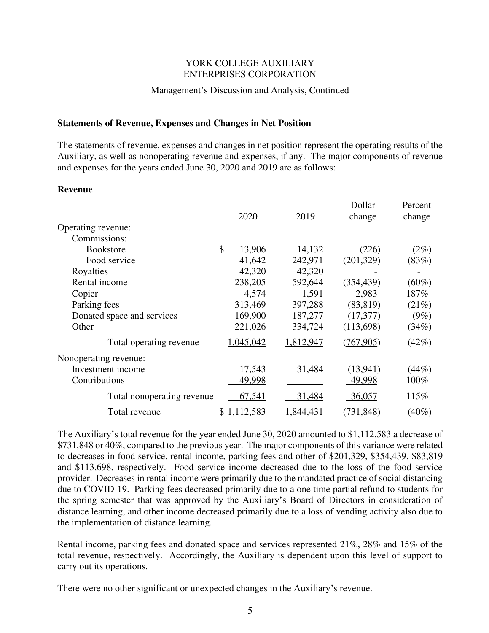### Management's Discussion and Analysis, Continued

### **Statements of Revenue, Expenses and Changes in Net Position**

The statements of revenue, expenses and changes in net position represent the operating results of the Auxiliary, as well as nonoperating revenue and expenses, if any. The major components of revenue and expenses for the years ended June 30, 2020 and 2019 are as follows:

#### **Revenue**

|                            |              |           | Dollar     | Percent  |
|----------------------------|--------------|-----------|------------|----------|
|                            | 2020         | 2019      | change     | change   |
| Operating revenue:         |              |           |            |          |
| Commissions:               |              |           |            |          |
| <b>Bookstore</b>           | \$<br>13,906 | 14,132    | (226)      | $(2\%)$  |
| Food service               | 41,642       | 242,971   | (201, 329) | (83%)    |
| Royalties                  | 42,320       | 42,320    |            |          |
| Rental income              | 238,205      | 592,644   | (354, 439) | $(60\%)$ |
| Copier                     | 4,574        | 1,591     | 2,983      | 187%     |
| Parking fees               | 313,469      | 397,288   | (83, 819)  | (21%)    |
| Donated space and services | 169,900      | 187,277   | (17, 377)  | $(9\%)$  |
| Other                      | 221,026      | 334,724   | (113,698)  | (34%)    |
| Total operating revenue    | 1,045,042    | 1,812,947 | (767, 905) | (42%)    |
| Nonoperating revenue:      |              |           |            |          |
| Investment income          | 17,543       | 31,484    | (13,941)   | (44%)    |
| Contributions              | 49,998       |           | 49,998     | 100%     |
| Total nonoperating revenue | 67,541       | 31,484    | 36,057     | 115%     |
| Total revenue              | \$1,112,583  | 1,844,431 | (731, 848) | $(40\%)$ |

The Auxiliary's total revenue for the year ended June 30, 2020 amounted to \$1,112,583 a decrease of \$731,848 or 40%, compared to the previous year. The major components of this variance were related to decreases in food service, rental income, parking fees and other of \$201,329, \$354,439, \$83,819 and \$113,698, respectively. Food service income decreased due to the loss of the food service provider. Decreases in rental income were primarily due to the mandated practice of social distancing due to COVID-19. Parking fees decreased primarily due to a one time partial refund to students for the spring semester that was approved by the Auxiliary's Board of Directors in consideration of distance learning, and other income decreased primarily due to a loss of vending activity also due to the implementation of distance learning.

Rental income, parking fees and donated space and services represented 21%, 28% and 15% of the total revenue, respectively. Accordingly, the Auxiliary is dependent upon this level of support to carry out its operations.

There were no other significant or unexpected changes in the Auxiliary's revenue.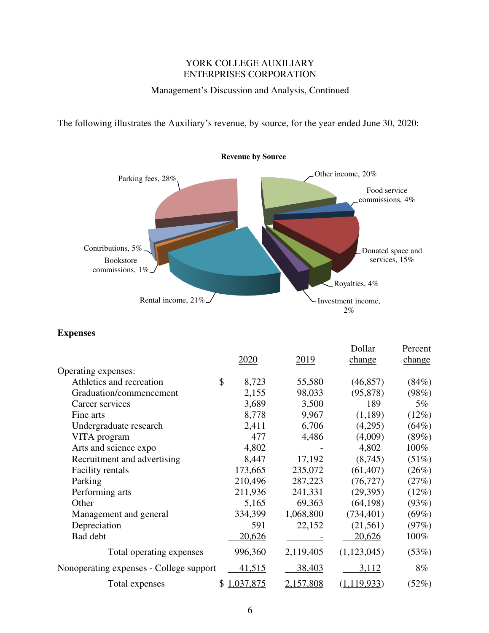# Management's Discussion and Analysis, Continued

The following illustrates the Auxiliary's revenue, by source, for the year ended June 30, 2020:



# **Expenses**

|                                         |               |             |             | Dollar        | Percent |
|-----------------------------------------|---------------|-------------|-------------|---------------|---------|
|                                         |               | <u>2020</u> | <u>2019</u> | change        | change  |
| Operating expenses:                     |               |             |             |               |         |
| Athletics and recreation                | $\mathcal{S}$ | 8,723       | 55,580      | (46, 857)     | (84%)   |
| Graduation/commencement                 |               | 2,155       | 98,033      | (95, 878)     | (98%)   |
| Career services                         |               | 3,689       | 3,500       | 189           | $5\%$   |
| Fine arts                               |               | 8,778       | 9,967       | (1,189)       | (12%)   |
| Undergraduate research                  |               | 2,411       | 6,706       | (4,295)       | (64%)   |
| VITA program                            |               | 477         | 4,486       | (4,009)       | (89%)   |
| Arts and science expo                   |               | 4,802       |             | 4,802         | 100%    |
| Recruitment and advertising             |               | 8,447       | 17,192      | (8,745)       | (51%)   |
| <b>Facility rentals</b>                 |               | 173,665     | 235,072     | (61, 407)     | (26%)   |
| Parking                                 |               | 210,496     | 287,223     | (76, 727)     | (27%)   |
| Performing arts                         |               | 211,936     | 241,331     | (29, 395)     | (12%)   |
| Other                                   |               | 5,165       | 69,363      | (64, 198)     | (93%)   |
| Management and general                  |               | 334,399     | 1,068,800   | (734, 401)    | (69%)   |
| Depreciation                            |               | 591         | 22,152      | (21,561)      | (97%)   |
| Bad debt                                |               | 20,626      |             | 20,626        | $100\%$ |
| Total operating expenses                |               | 996,360     | 2,119,405   | (1,123,045)   | (53%)   |
| Nonoperating expenses - College support |               | 41,515      | 38,403      | 3,112         | $8\%$   |
| Total expenses                          |               | \$1,037,875 | 2,157,808   | (1, 119, 933) | (52%)   |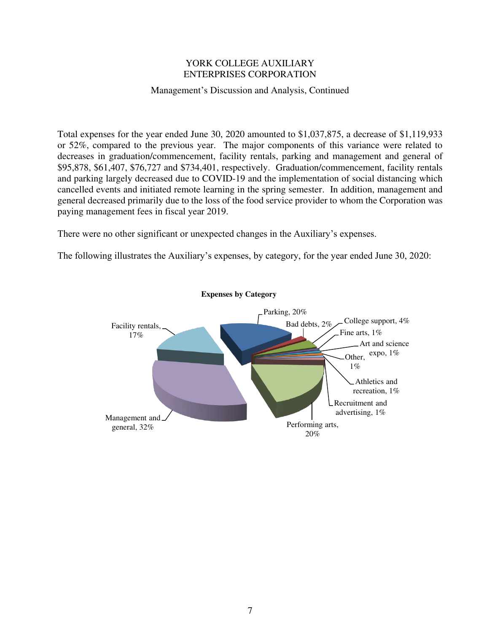### Management's Discussion and Analysis, Continued

Total expenses for the year ended June 30, 2020 amounted to \$1,037,875, a decrease of \$1,119,933 or 52%, compared to the previous year. The major components of this variance were related to decreases in graduation/commencement, facility rentals, parking and management and general of \$95,878, \$61,407, \$76,727 and \$734,401, respectively. Graduation/commencement, facility rentals and parking largely decreased due to COVID-19 and the implementation of social distancing which cancelled events and initiated remote learning in the spring semester. In addition, management and general decreased primarily due to the loss of the food service provider to whom the Corporation was paying management fees in fiscal year 2019.

There were no other significant or unexpected changes in the Auxiliary's expenses.

The following illustrates the Auxiliary's expenses, by category, for the year ended June 30, 2020:

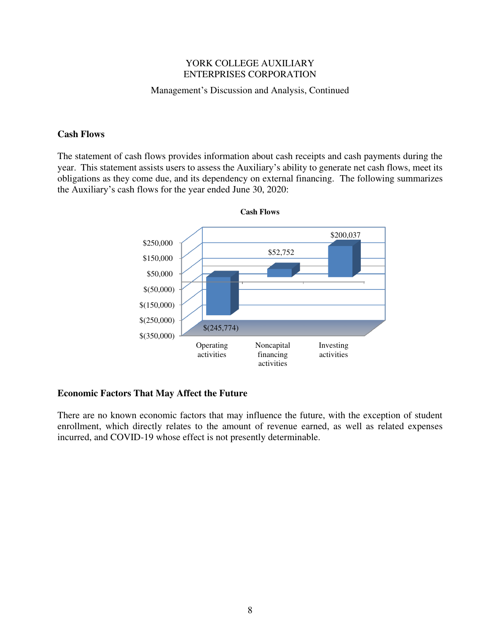### Management's Discussion and Analysis, Continued

### **Cash Flows**

The statement of cash flows provides information about cash receipts and cash payments during the year. This statement assists users to assess the Auxiliary's ability to generate net cash flows, meet its obligations as they come due, and its dependency on external financing. The following summarizes the Auxiliary's cash flows for the year ended June 30, 2020:



# **Economic Factors That May Affect the Future**

There are no known economic factors that may influence the future, with the exception of student enrollment, which directly relates to the amount of revenue earned, as well as related expenses incurred, and COVID-19 whose effect is not presently determinable.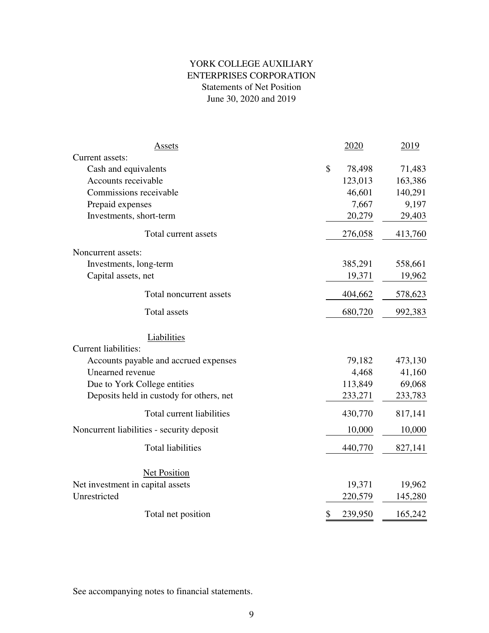# YORK COLLEGE AUXILIARY Statements of Net Position June 30, 2020 and 2019 ENTERPRISES CORPORATION

| Assets                                    | 2020          | 2019    |
|-------------------------------------------|---------------|---------|
| Current assets:                           |               |         |
| Cash and equivalents                      | \$<br>78,498  | 71,483  |
| Accounts receivable                       | 123,013       | 163,386 |
| Commissions receivable                    | 46,601        | 140,291 |
| Prepaid expenses                          | 7,667         | 9,197   |
| Investments, short-term                   | 20,279        | 29,403  |
| Total current assets                      | 276,058       | 413,760 |
| Noncurrent assets:                        |               |         |
| Investments, long-term                    | 385,291       | 558,661 |
| Capital assets, net                       | 19,371        | 19,962  |
| Total noncurrent assets                   | 404,662       | 578,623 |
| <b>Total assets</b>                       | 680,720       | 992,383 |
| Liabilities                               |               |         |
| Current liabilities:                      |               |         |
| Accounts payable and accrued expenses     | 79,182        | 473,130 |
| Unearned revenue                          | 4,468         | 41,160  |
| Due to York College entities              | 113,849       | 69,068  |
| Deposits held in custody for others, net  | 233,271       | 233,783 |
| Total current liabilities                 | 430,770       | 817,141 |
| Noncurrent liabilities - security deposit | 10,000        | 10,000  |
| <b>Total liabilities</b>                  | 440,770       | 827,141 |
| Net Position                              |               |         |
| Net investment in capital assets          | 19,371        | 19,962  |
| Unrestricted                              | 220,579       | 145,280 |
| Total net position                        | \$<br>239,950 | 165,242 |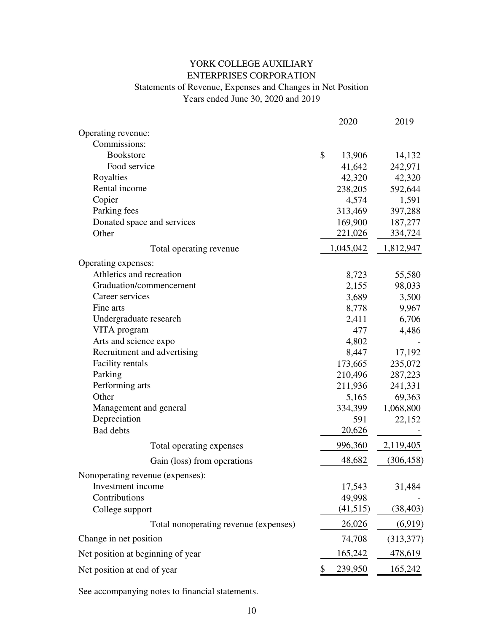# ENTERPRISES CORPORATION YORK COLLEGE AUXILIARY

# Statements of Revenue, Expenses and Changes in Net Position Years ended June 30, 2020 and 2019

|                                       | 2020          | 2019       |
|---------------------------------------|---------------|------------|
| Operating revenue:                    |               |            |
| Commissions:                          |               |            |
| <b>Bookstore</b>                      | \$<br>13,906  | 14,132     |
| Food service                          | 41,642        | 242,971    |
| Royalties                             | 42,320        | 42,320     |
| Rental income                         | 238,205       | 592,644    |
| Copier                                | 4,574         | 1,591      |
| Parking fees                          | 313,469       | 397,288    |
| Donated space and services            | 169,900       | 187,277    |
| Other                                 | 221,026       | 334,724    |
| Total operating revenue               | 1,045,042     | 1,812,947  |
| Operating expenses:                   |               |            |
| Athletics and recreation              | 8,723         | 55,580     |
| Graduation/commencement               | 2,155         | 98,033     |
| Career services                       | 3,689         | 3,500      |
| Fine arts                             | 8,778         | 9,967      |
| Undergraduate research                | 2,411         | 6,706      |
| VITA program                          | 477           | 4,486      |
| Arts and science expo                 | 4,802         |            |
| Recruitment and advertising           | 8,447         | 17,192     |
| Facility rentals                      | 173,665       | 235,072    |
| Parking                               | 210,496       | 287,223    |
| Performing arts                       | 211,936       | 241,331    |
| Other                                 | 5,165         | 69,363     |
| Management and general                | 334,399       | 1,068,800  |
| Depreciation                          | 591           | 22,152     |
| <b>Bad</b> debts                      | 20,626        |            |
| Total operating expenses              | 996,360       | 2,119,405  |
| Gain (loss) from operations           | 48,682        | (306, 458) |
| Nonoperating revenue (expenses):      |               |            |
| Investment income                     | 17,543        | 31,484     |
| Contributions                         | 49,998        |            |
| College support                       | (41,515)      | (38, 403)  |
| Total nonoperating revenue (expenses) | 26,026        | (6,919)    |
| Change in net position                | 74,708        | (313,377)  |
| Net position at beginning of year     | 165,242       | 478,619    |
| Net position at end of year           | \$<br>239,950 | 165,242    |
|                                       |               |            |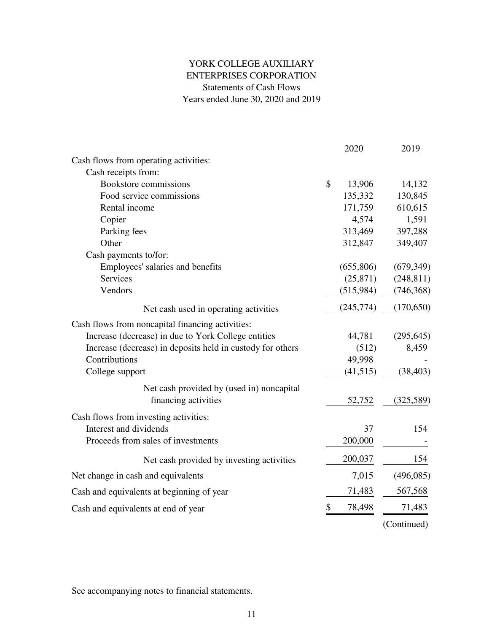# YORK COLLEGE AUXILIARY ENTERPRISES CORPORATION Statements of Cash Flows Years ended June 30, 2020 and 2019

|                                                            | 2020         | 2019        |
|------------------------------------------------------------|--------------|-------------|
| Cash flows from operating activities:                      |              |             |
| Cash receipts from:                                        |              |             |
| Bookstore commissions                                      | \$<br>13,906 | 14,132      |
| Food service commissions                                   | 135,332      | 130,845     |
| Rental income                                              | 171,759      | 610,615     |
| Copier                                                     | 4,574        | 1,591       |
| Parking fees                                               | 313,469      | 397,288     |
| Other                                                      | 312,847      | 349,407     |
| Cash payments to/for:                                      |              |             |
| Employees' salaries and benefits                           | (655,806)    | (679, 349)  |
| Services                                                   | (25, 871)    | (248, 811)  |
| Vendors                                                    | (515,984)    | (746, 368)  |
| Net cash used in operating activities                      | (245, 774)   | (170, 650)  |
| Cash flows from noncapital financing activities:           |              |             |
| Increase (decrease) in due to York College entities        | 44,781       | (295, 645)  |
| Increase (decrease) in deposits held in custody for others | (512)        | 8,459       |
| Contributions                                              | 49,998       |             |
| College support                                            | (41, 515)    | (38, 403)   |
| Net cash provided by (used in) noncapital                  |              |             |
| financing activities                                       | 52,752       | (325,589)   |
| Cash flows from investing activities:                      |              |             |
| Interest and dividends                                     | 37           | 154         |
| Proceeds from sales of investments                         | 200,000      |             |
| Net cash provided by investing activities                  | 200,037      | 154         |
| Net change in cash and equivalents                         | 7,015        | (496,085)   |
| Cash and equivalents at beginning of year                  | 71,483       | 567,568     |
| Cash and equivalents at end of year                        | \$<br>78,498 | 71,483      |
|                                                            |              | (Continued) |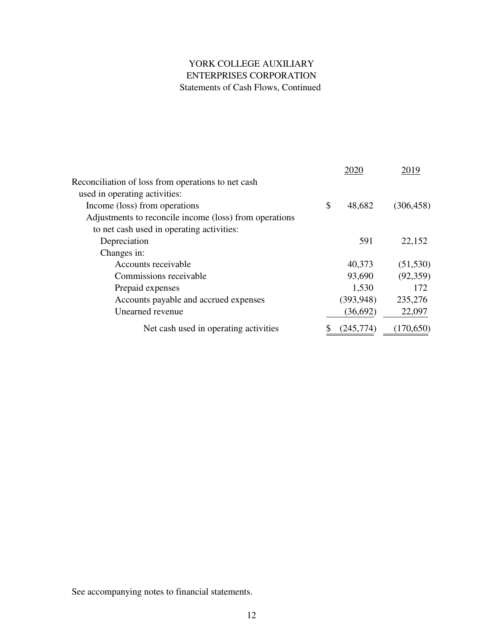# YORK COLLEGE AUXILIARY ENTERPRISES CORPORATION Statements of Cash Flows, Continued

|                                                        | 2020         | 2019       |
|--------------------------------------------------------|--------------|------------|
| Reconciliation of loss from operations to net cash     |              |            |
| used in operating activities:                          |              |            |
| Income (loss) from operations                          | \$<br>48,682 | (306, 458) |
| Adjustments to reconcile income (loss) from operations |              |            |
| to net cash used in operating activities:              |              |            |
| Depreciation                                           | 591          | 22,152     |
| Changes in:                                            |              |            |
| Accounts receivable                                    | 40,373       | (51, 530)  |
| Commissions receivable                                 | 93,690       | (92, 359)  |
| Prepaid expenses                                       | 1,530        | 172        |
| Accounts payable and accrued expenses                  | (393, 948)   | 235,276    |
| Unearned revenue                                       | (36,692)     | 22,097     |
| Net cash used in operating activities                  | (245,774)    | (170, 650) |
|                                                        |              |            |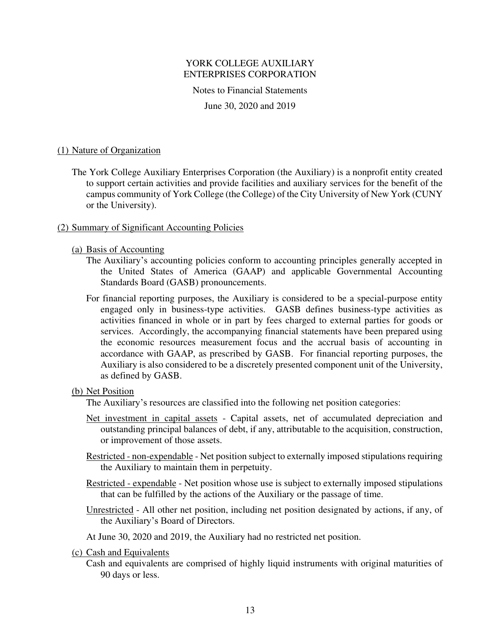Notes to Financial Statements

June 30, 2020 and 2019

### (1) Nature of Organization

 The York College Auxiliary Enterprises Corporation (the Auxiliary) is a nonprofit entity created to support certain activities and provide facilities and auxiliary services for the benefit of the campus community of York College (the College) of the City University of New York (CUNY or the University).

### (2) Summary of Significant Accounting Policies

- (a) Basis of Accounting
	- The Auxiliary's accounting policies conform to accounting principles generally accepted in the United States of America (GAAP) and applicable Governmental Accounting Standards Board (GASB) pronouncements.
	- For financial reporting purposes, the Auxiliary is considered to be a special-purpose entity engaged only in business-type activities. GASB defines business-type activities as activities financed in whole or in part by fees charged to external parties for goods or services. Accordingly, the accompanying financial statements have been prepared using the economic resources measurement focus and the accrual basis of accounting in accordance with GAAP, as prescribed by GASB. For financial reporting purposes, the Auxiliary is also considered to be a discretely presented component unit of the University, as defined by GASB.

# (b) Net Position

The Auxiliary's resources are classified into the following net position categories:

- Net investment in capital assets Capital assets, net of accumulated depreciation and outstanding principal balances of debt, if any, attributable to the acquisition, construction, or improvement of those assets.
- Restricted non-expendable Net position subject to externally imposed stipulations requiring the Auxiliary to maintain them in perpetuity.
- Restricted expendable Net position whose use is subject to externally imposed stipulations that can be fulfilled by the actions of the Auxiliary or the passage of time.
- Unrestricted All other net position, including net position designated by actions, if any, of the Auxiliary's Board of Directors.

At June 30, 2020 and 2019, the Auxiliary had no restricted net position.

(c) Cash and Equivalents

 Cash and equivalents are comprised of highly liquid instruments with original maturities of 90 days or less.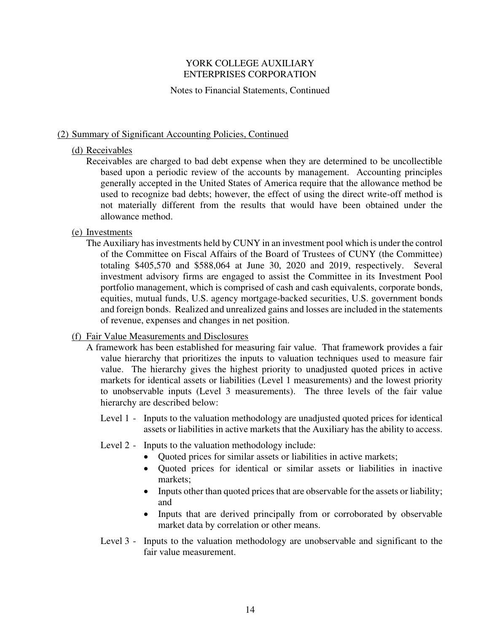### Notes to Financial Statements, Continued

# (2) Summary of Significant Accounting Policies, Continued

### (d) Receivables

 Receivables are charged to bad debt expense when they are determined to be uncollectible based upon a periodic review of the accounts by management. Accounting principles generally accepted in the United States of America require that the allowance method be used to recognize bad debts; however, the effect of using the direct write-off method is not materially different from the results that would have been obtained under the allowance method.

# (e) Investments

 The Auxiliary has investments held by CUNY in an investment pool which is under the control of the Committee on Fiscal Affairs of the Board of Trustees of CUNY (the Committee) totaling \$405,570 and \$588,064 at June 30, 2020 and 2019, respectively. Several investment advisory firms are engaged to assist the Committee in its Investment Pool portfolio management, which is comprised of cash and cash equivalents, corporate bonds, equities, mutual funds, U.S. agency mortgage-backed securities, U.S. government bonds and foreign bonds. Realized and unrealized gains and losses are included in the statements of revenue, expenses and changes in net position.

# (f) Fair Value Measurements and Disclosures

- A framework has been established for measuring fair value. That framework provides a fair value hierarchy that prioritizes the inputs to valuation techniques used to measure fair value. The hierarchy gives the highest priority to unadjusted quoted prices in active markets for identical assets or liabilities (Level 1 measurements) and the lowest priority to unobservable inputs (Level 3 measurements). The three levels of the fair value hierarchy are described below:
	- Level 1 Inputs to the valuation methodology are unadjusted quoted prices for identical assets or liabilities in active markets that the Auxiliary has the ability to access.
	- Level 2 Inputs to the valuation methodology include:
		- Quoted prices for similar assets or liabilities in active markets;
		- Quoted prices for identical or similar assets or liabilities in inactive markets;
		- Inputs other than quoted prices that are observable for the assets or liability; and
		- Inputs that are derived principally from or corroborated by observable market data by correlation or other means.
	- Level 3 Inputs to the valuation methodology are unobservable and significant to the fair value measurement.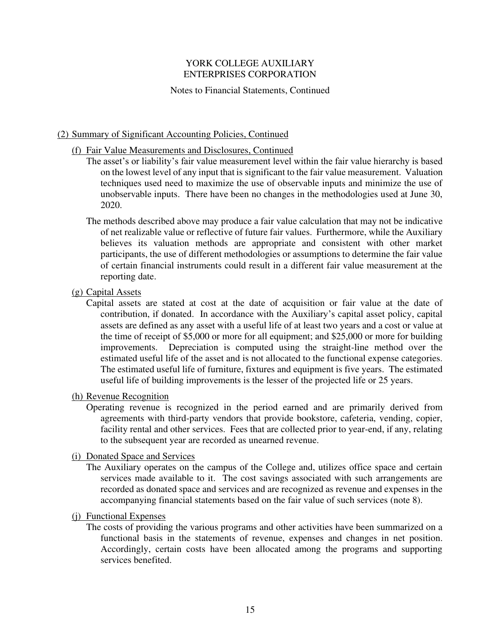### Notes to Financial Statements, Continued

### (2) Summary of Significant Accounting Policies, Continued

### (f) Fair Value Measurements and Disclosures, Continued

- The asset's or liability's fair value measurement level within the fair value hierarchy is based on the lowest level of any input that is significant to the fair value measurement. Valuation techniques used need to maximize the use of observable inputs and minimize the use of unobservable inputs. There have been no changes in the methodologies used at June 30, 2020.
- The methods described above may produce a fair value calculation that may not be indicative of net realizable value or reflective of future fair values. Furthermore, while the Auxiliary believes its valuation methods are appropriate and consistent with other market participants, the use of different methodologies or assumptions to determine the fair value of certain financial instruments could result in a different fair value measurement at the reporting date.

### (g) Capital Assets

 Capital assets are stated at cost at the date of acquisition or fair value at the date of contribution, if donated. In accordance with the Auxiliary's capital asset policy, capital assets are defined as any asset with a useful life of at least two years and a cost or value at the time of receipt of \$5,000 or more for all equipment; and \$25,000 or more for building improvements. Depreciation is computed using the straight-line method over the estimated useful life of the asset and is not allocated to the functional expense categories. The estimated useful life of furniture, fixtures and equipment is five years. The estimated useful life of building improvements is the lesser of the projected life or 25 years.

### (h) Revenue Recognition

 Operating revenue is recognized in the period earned and are primarily derived from agreements with third-party vendors that provide bookstore, cafeteria, vending, copier, facility rental and other services. Fees that are collected prior to year-end, if any, relating to the subsequent year are recorded as unearned revenue.

#### (i) Donated Space and Services

 The Auxiliary operates on the campus of the College and, utilizes office space and certain services made available to it. The cost savings associated with such arrangements are recorded as donated space and services and are recognized as revenue and expenses in the accompanying financial statements based on the fair value of such services (note 8).

# (j) Functional Expenses

 The costs of providing the various programs and other activities have been summarized on a functional basis in the statements of revenue, expenses and changes in net position. Accordingly, certain costs have been allocated among the programs and supporting services benefited.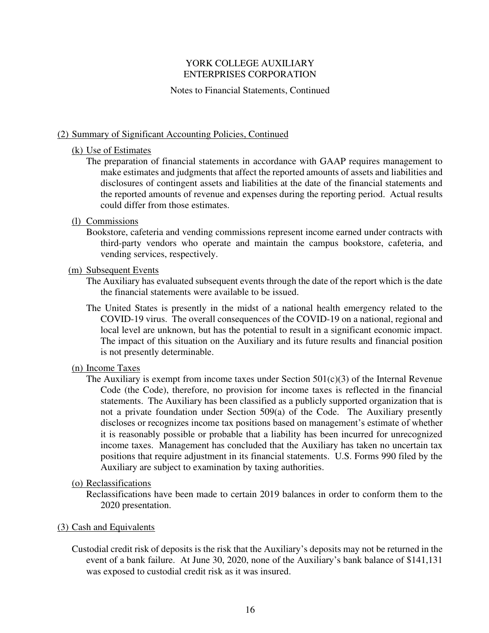### Notes to Financial Statements, Continued

### (2) Summary of Significant Accounting Policies, Continued

#### (k) Use of Estimates

 The preparation of financial statements in accordance with GAAP requires management to make estimates and judgments that affect the reported amounts of assets and liabilities and disclosures of contingent assets and liabilities at the date of the financial statements and the reported amounts of revenue and expenses during the reporting period. Actual results could differ from those estimates.

### (l) Commissions

 Bookstore, cafeteria and vending commissions represent income earned under contracts with third-party vendors who operate and maintain the campus bookstore, cafeteria, and vending services, respectively.

#### (m) Subsequent Events

- The Auxiliary has evaluated subsequent events through the date of the report which is the date the financial statements were available to be issued.
- The United States is presently in the midst of a national health emergency related to the COVID-19 virus. The overall consequences of the COVID-19 on a national, regional and local level are unknown, but has the potential to result in a significant economic impact. The impact of this situation on the Auxiliary and its future results and financial position is not presently determinable.

#### (n) Income Taxes

The Auxiliary is exempt from income taxes under Section  $501(c)(3)$  of the Internal Revenue Code (the Code), therefore, no provision for income taxes is reflected in the financial statements. The Auxiliary has been classified as a publicly supported organization that is not a private foundation under Section 509(a) of the Code. The Auxiliary presently discloses or recognizes income tax positions based on management's estimate of whether it is reasonably possible or probable that a liability has been incurred for unrecognized income taxes. Management has concluded that the Auxiliary has taken no uncertain tax positions that require adjustment in its financial statements. U.S. Forms 990 filed by the Auxiliary are subject to examination by taxing authorities.

#### (o) Reclassifications

 Reclassifications have been made to certain 2019 balances in order to conform them to the 2020 presentation.

#### (3) Cash and Equivalents

 Custodial credit risk of deposits is the risk that the Auxiliary's deposits may not be returned in the event of a bank failure. At June 30, 2020, none of the Auxiliary's bank balance of \$141,131 was exposed to custodial credit risk as it was insured.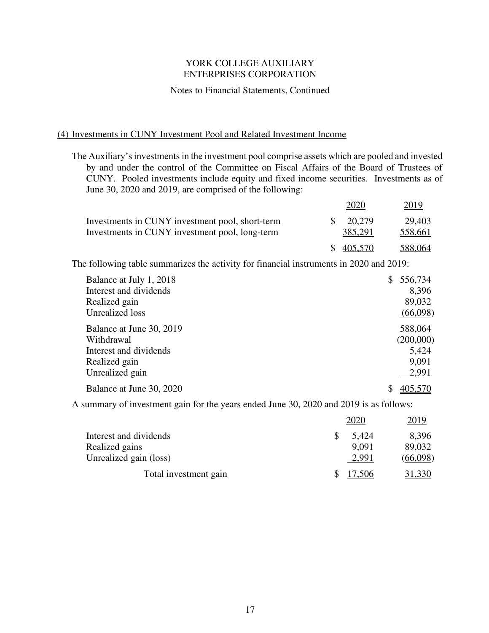### Notes to Financial Statements, Continued

# (4) Investments in CUNY Investment Pool and Related Investment Income

The Auxiliary's investments in the investment pool comprise assets which are pooled and invested by and under the control of the Committee on Fiscal Affairs of the Board of Trustees of CUNY. Pooled investments include equity and fixed income securities. Investments as of June 30, 2020 and 2019, are comprised of the following:

|                                                 |     | 2020      | 2019    |  |
|-------------------------------------------------|-----|-----------|---------|--|
| Investments in CUNY investment pool, short-term | SS. | 20.279    | 29,403  |  |
| Investments in CUNY investment pool, long-term  |     | 385,291   | 558,661 |  |
|                                                 |     | \$405,570 | 588,064 |  |

The following table summarizes the activity for financial instruments in 2020 and 2019:

| Balance at July 1, 2018  | 556,734<br>\$ |
|--------------------------|---------------|
| Interest and dividends   | 8,396         |
| Realized gain            | 89,032        |
| <b>Unrealized</b> loss   | (66,098)      |
| Balance at June 30, 2019 | 588,064       |
| Withdrawal               | (200,000)     |
| Interest and dividends   | 5,424         |
| Realized gain            | 9,091         |
| Unrealized gain          | 2,991         |
| Balance at June 30, 2020 | 405,570       |

A summary of investment gain for the years ended June 30, 2020 and 2019 is as follows:

|                        | 2020   | 2019     |
|------------------------|--------|----------|
| Interest and dividends | 5,424  | 8,396    |
| Realized gains         | 9,091  | 89,032   |
| Unrealized gain (loss) | 2,991  | (66,098) |
| Total investment gain  | 17,506 | 31,330   |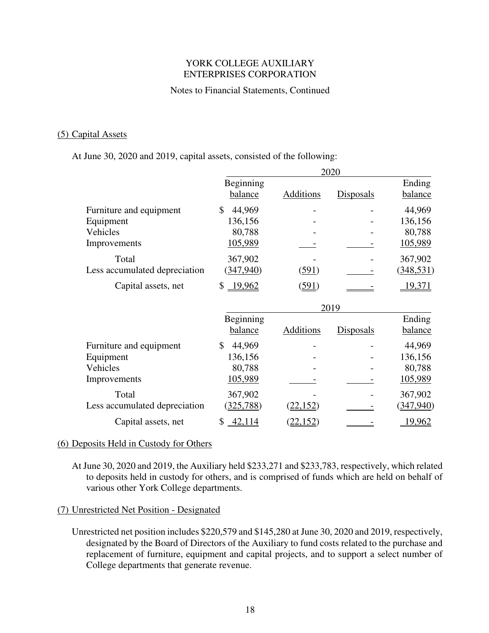### Notes to Financial Statements, Continued

### (5) Capital Assets

At June 30, 2020 and 2019, capital assets, consisted of the following:

|                               | 2020                 |                 |                  |                   |
|-------------------------------|----------------------|-----------------|------------------|-------------------|
|                               | Beginning<br>balance | Additions       | <b>Disposals</b> | Ending<br>balance |
| Furniture and equipment       | \$<br>44,969         |                 |                  | 44,969            |
| Equipment                     | 136,156              |                 |                  | 136,156           |
| Vehicles                      | 80,788               |                 |                  | 80,788            |
| Improvements                  | 105,989              |                 |                  | 105,989           |
| Total                         | 367,902              |                 |                  | 367,902           |
| Less accumulated depreciation | (347, 940)           | (591)           |                  | (348, 531)        |
| Capital assets, net           | \$19,962             | (591)           |                  | 19,371            |
|                               |                      |                 | 2019             |                   |
|                               | Beginning            |                 |                  | Ending            |
|                               | balance              | Additions       | Disposals        | balance           |
| Furniture and equipment       | 44,969<br>\$         |                 |                  | 44,969            |
| Equipment                     | 136,156              |                 |                  | 136,156           |
| Vehicles                      | 80,788               |                 |                  | 80,788            |
|                               |                      |                 |                  |                   |
|                               | 105,989              |                 |                  | 105,989           |
| Improvements<br>Total         | 367,902              |                 |                  | 367,902           |
| Less accumulated depreciation | (325, 788)           | <u>(22,152)</u> |                  | (347,940)         |

### (6) Deposits Held in Custody for Others

 At June 30, 2020 and 2019, the Auxiliary held \$233,271 and \$233,783, respectively, which related to deposits held in custody for others, and is comprised of funds which are held on behalf of various other York College departments.

# (7) Unrestricted Net Position - Designated

 Unrestricted net position includes \$220,579 and \$145,280 at June 30, 2020 and 2019, respectively, designated by the Board of Directors of the Auxiliary to fund costs related to the purchase and replacement of furniture, equipment and capital projects, and to support a select number of College departments that generate revenue.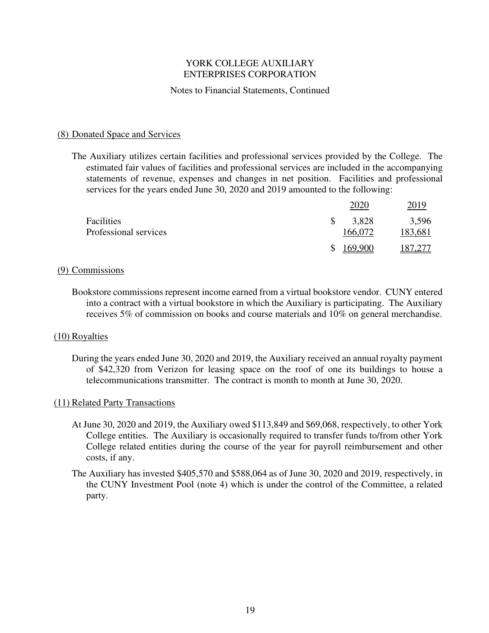### Notes to Financial Statements, Continued

### (8) Donated Space and Services

 The Auxiliary utilizes certain facilities and professional services provided by the College. The estimated fair values of facilities and professional services are included in the accompanying statements of revenue, expenses and changes in net position. Facilities and professional services for the years ended June 30, 2020 and 2019 amounted to the following:

|                       |          | 2020    | 2019    |
|-----------------------|----------|---------|---------|
| Facilities            | <b>S</b> | 3,828   | 3,596   |
| Professional services |          | 166.072 | 183,681 |
|                       | S        | 169,900 | 187,277 |

#### (9) Commissions

 Bookstore commissions represent income earned from a virtual bookstore vendor. CUNY entered into a contract with a virtual bookstore in which the Auxiliary is participating. The Auxiliary receives 5% of commission on books and course materials and 10% on general merchandise.

#### (10) Royalties

 During the years ended June 30, 2020 and 2019, the Auxiliary received an annual royalty payment of \$42,320 from Verizon for leasing space on the roof of one its buildings to house a telecommunications transmitter. The contract is month to month at June 30, 2020.

#### (11) Related Party Transactions

- At June 30, 2020 and 2019, the Auxiliary owed \$113,849 and \$69,068, respectively, to other York College entities. The Auxiliary is occasionally required to transfer funds to/from other York College related entities during the course of the year for payroll reimbursement and other costs, if any.
- The Auxiliary has invested \$405,570 and \$588,064 as of June 30, 2020 and 2019, respectively, in the CUNY Investment Pool (note 4) which is under the control of the Committee, a related party.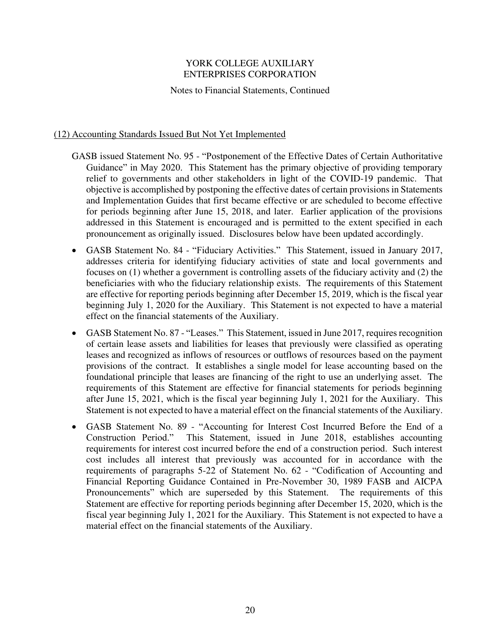Notes to Financial Statements, Continued

# (12) Accounting Standards Issued But Not Yet Implemented

- GASB issued Statement No. 95 "Postponement of the Effective Dates of Certain Authoritative Guidance" in May 2020. This Statement has the primary objective of providing temporary relief to governments and other stakeholders in light of the COVID-19 pandemic. That objective is accomplished by postponing the effective dates of certain provisions in Statements and Implementation Guides that first became effective or are scheduled to become effective for periods beginning after June 15, 2018, and later. Earlier application of the provisions addressed in this Statement is encouraged and is permitted to the extent specified in each pronouncement as originally issued. Disclosures below have been updated accordingly.
- GASB Statement No. 84 "Fiduciary Activities." This Statement, issued in January 2017, addresses criteria for identifying fiduciary activities of state and local governments and focuses on (1) whether a government is controlling assets of the fiduciary activity and (2) the beneficiaries with who the fiduciary relationship exists. The requirements of this Statement are effective for reporting periods beginning after December 15, 2019, which is the fiscal year beginning July 1, 2020 for the Auxiliary. This Statement is not expected to have a material effect on the financial statements of the Auxiliary.
- GASB Statement No. 87 "Leases." This Statement, issued in June 2017, requires recognition of certain lease assets and liabilities for leases that previously were classified as operating leases and recognized as inflows of resources or outflows of resources based on the payment provisions of the contract. It establishes a single model for lease accounting based on the foundational principle that leases are financing of the right to use an underlying asset. The requirements of this Statement are effective for financial statements for periods beginning after June 15, 2021, which is the fiscal year beginning July 1, 2021 for the Auxiliary. This Statement is not expected to have a material effect on the financial statements of the Auxiliary.
- GASB Statement No. 89 "Accounting for Interest Cost Incurred Before the End of a Construction Period." This Statement, issued in June 2018, establishes accounting requirements for interest cost incurred before the end of a construction period. Such interest cost includes all interest that previously was accounted for in accordance with the requirements of paragraphs 5-22 of Statement No. 62 - "Codification of Accounting and Financial Reporting Guidance Contained in Pre-November 30, 1989 FASB and AICPA Pronouncements" which are superseded by this Statement. The requirements of this Statement are effective for reporting periods beginning after December 15, 2020, which is the fiscal year beginning July 1, 2021 for the Auxiliary. This Statement is not expected to have a material effect on the financial statements of the Auxiliary.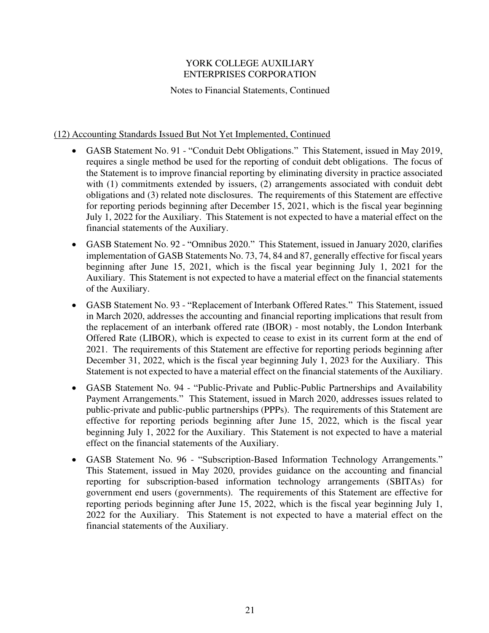Notes to Financial Statements, Continued

# (12) Accounting Standards Issued But Not Yet Implemented, Continued

- GASB Statement No. 91 "Conduit Debt Obligations." This Statement, issued in May 2019, requires a single method be used for the reporting of conduit debt obligations. The focus of the Statement is to improve financial reporting by eliminating diversity in practice associated with (1) commitments extended by issuers, (2) arrangements associated with conduit debt obligations and (3) related note disclosures. The requirements of this Statement are effective for reporting periods beginning after December 15, 2021, which is the fiscal year beginning July 1, 2022 for the Auxiliary. This Statement is not expected to have a material effect on the financial statements of the Auxiliary.
- GASB Statement No. 92 "Omnibus 2020." This Statement, issued in January 2020, clarifies implementation of GASB Statements No. 73, 74, 84 and 87, generally effective for fiscal years beginning after June 15, 2021, which is the fiscal year beginning July 1, 2021 for the Auxiliary. This Statement is not expected to have a material effect on the financial statements of the Auxiliary.
- GASB Statement No. 93 "Replacement of Interbank Offered Rates." This Statement, issued in March 2020, addresses the accounting and financial reporting implications that result from the replacement of an interbank offered rate (IBOR) - most notably, the London Interbank Offered Rate (LIBOR), which is expected to cease to exist in its current form at the end of 2021. The requirements of this Statement are effective for reporting periods beginning after December 31, 2022, which is the fiscal year beginning July 1, 2023 for the Auxiliary. This Statement is not expected to have a material effect on the financial statements of the Auxiliary.
- GASB Statement No. 94 "Public-Private and Public-Public Partnerships and Availability Payment Arrangements." This Statement, issued in March 2020, addresses issues related to public-private and public-public partnerships (PPPs). The requirements of this Statement are effective for reporting periods beginning after June 15, 2022, which is the fiscal year beginning July 1, 2022 for the Auxiliary. This Statement is not expected to have a material effect on the financial statements of the Auxiliary.
- GASB Statement No. 96 "Subscription-Based Information Technology Arrangements." This Statement, issued in May 2020, provides guidance on the accounting and financial reporting for subscription-based information technology arrangements (SBITAs) for government end users (governments). The requirements of this Statement are effective for reporting periods beginning after June 15, 2022, which is the fiscal year beginning July 1, 2022 for the Auxiliary. This Statement is not expected to have a material effect on the financial statements of the Auxiliary.